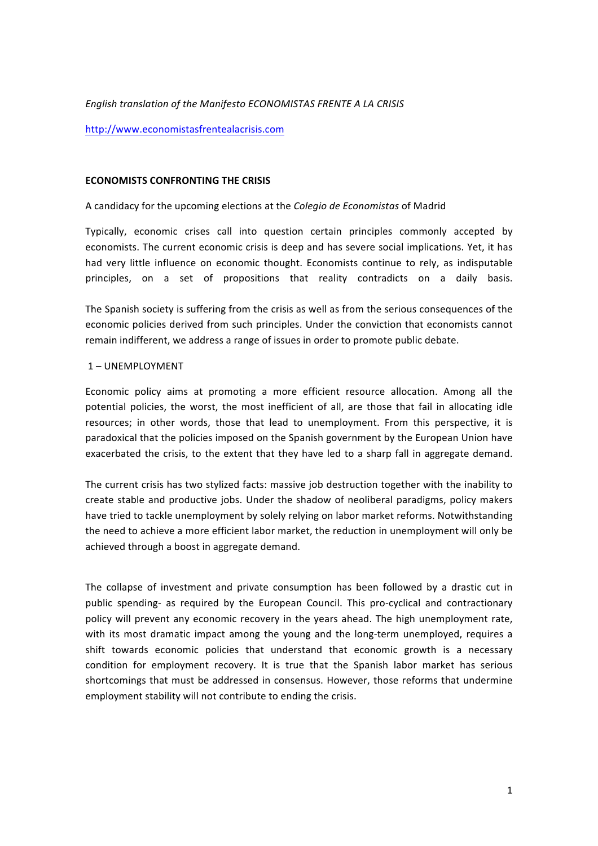## **English translation of the Manifesto ECONOMISTAS FRENTE A LA CRISIS**

http://www.economistasfrentealacrisis.com

#### **ECONOMISTS CONFRONTING THE CRISIS**

## A"candidacy for"the"upcoming"elections"at the *Colegio!de!Economistas* of"Madrid

Typically, economic crises call into question certain principles commonly accepted by economists. The current economic crisis is deep and has severe social implications. Yet, it has had very little influence on economic thought. Economists continue to rely, as indisputable principles, on a set of propositions that reality contradicts on a daily basis.

The Spanish society is suffering from the crisis as well as from the serious consequences of the economic policies derived from such principles. Under the conviction that economists cannot remain indifferent, we address a range of issues in order to promote public debate.

## 1 – UNEMPLOYMENT

Economic policy aims at promoting a more efficient resource allocation. Among all the potential policies, the worst, the most inefficient of all, are those that fail in allocating idle resources; in other words, those that lead to unemployment. From this perspective, it is paradoxical that the policies imposed on the Spanish government by the European Union have exacerbated the crisis, to the extent that they have led to a sharp fall in aggregate demand.

The current crisis has two stylized facts: massive job destruction together with the inability to create stable and productive jobs. Under the shadow of neoliberal paradigms, policy makers have tried to tackle unemployment by solely relying on labor market reforms. Notwithstanding the need to achieve a more efficient labor market, the reduction in unemployment will only be achieved through a boost in aggregate demand.

The collapse of investment and private consumption has been followed by a drastic cut in public spending- as required by the European Council. This pro-cyclical and contractionary policy will prevent any economic recovery in the years ahead. The high unemployment rate, with its most dramatic impact among the young and the long-term unemployed, requires a shift towards economic policies that understand that economic growth is a necessary condition for employment recovery. It is true that the Spanish labor market has serious shortcomings that must be addressed in consensus. However, those reforms that undermine employment stability will not contribute to ending the crisis.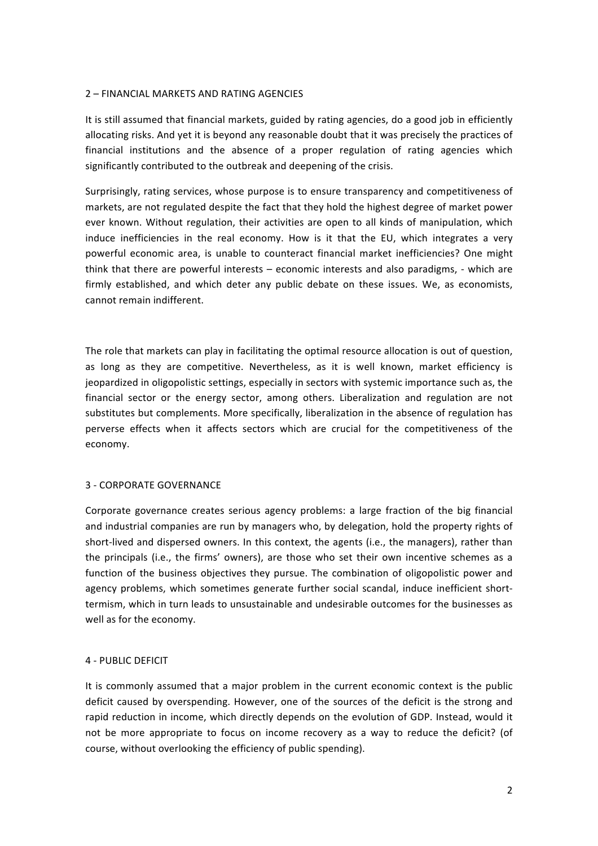## 2 – FINANCIAL MARKETS AND RATING AGENCIES

It is still assumed that financial markets, guided by rating agencies, do a good job in efficiently allocating risks. And yet it is beyond any reasonable doubt that it was precisely the practices of financial institutions and the absence of a proper regulation of rating agencies which significantly contributed to the outbreak and deepening of the crisis.

Surprisingly, rating services, whose purpose is to ensure transparency and competitiveness of markets, are not regulated despite the fact that they hold the highest degree of market power ever known. Without regulation, their activities are open to all kinds of manipulation, which induce inefficiencies in the real economy. How is it that the EU, which integrates a very powerful economic area, is unable to counteract financial market inefficiencies? One might think that there are powerful interests – economic interests and also paradigms, - which are firmly established, and which deter any public debate on these issues. We, as economists, cannot remain indifferent.

The role that markets can play in facilitating the optimal resource allocation is out of question, as long as they are competitive. Nevertheless, as it is well known, market efficiency is jeopardized in oligopolistic settings, especially in sectors with systemic importance such as, the financial sector or the energy sector, among others. Liberalization and regulation are not substitutes but complements. More specifically, liberalization in the absence of regulation has perverse effects when it affects sectors which are crucial for the competitiveness of the economy.

# 3 - CORPORATE GOVERNANCE

Corporate governance creates serious agency problems: a large fraction of the big financial and industrial companies are run by managers who, by delegation, hold the property rights of short-lived and dispersed owners. In this context, the agents (i.e., the managers), rather than the principals (i.e., the firms' owners), are those who set their own incentive schemes as a function of the business objectives they pursue. The combination of oligopolistic power and agency problems, which sometimes generate further social scandal, induce inefficient shorttermism, which in turn leads to unsustainable and undesirable outcomes for the businesses as well as for the economy.

# 4 - PUBLIC DEFICIT

It is commonly assumed that a major problem in the current economic context is the public deficit caused by overspending. However, one of the sources of the deficit is the strong and rapid reduction in income, which directly depends on the evolution of GDP. Instead, would it not be more appropriate to focus on income recovery as a way to reduce the deficit? (of course, without overlooking the efficiency of public spending).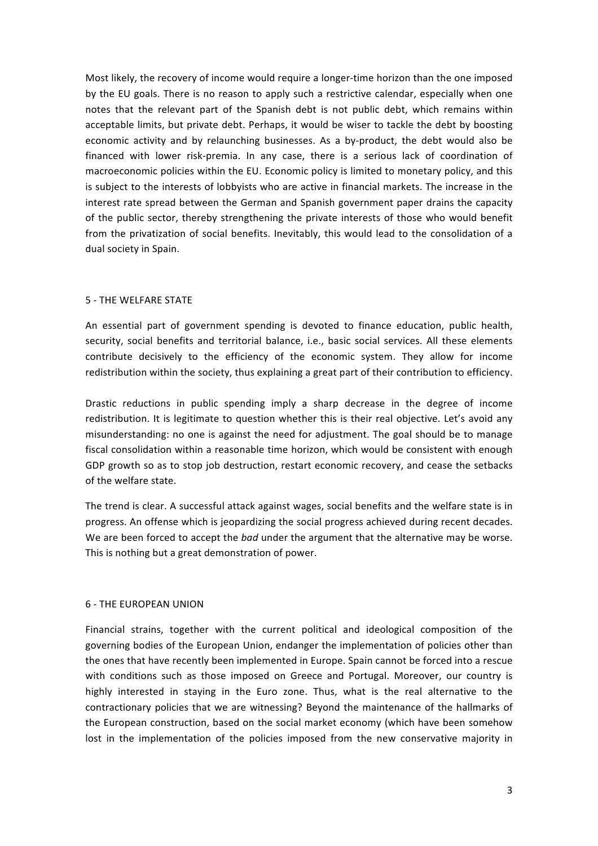Most likely, the recovery of income would require a longer-time horizon than the one imposed by the EU goals. There is no reason to apply such a restrictive calendar, especially when one notes that the relevant part of the Spanish debt is not public debt, which remains within acceptable limits, but private debt. Perhaps, it would be wiser to tackle the debt by boosting economic activity and by relaunching businesses. As a by-product, the debt would also be financed with lower risk-premia. In any case, there is a serious lack of coordination of macroeconomic policies within the EU. Economic policy is limited to monetary policy, and this is subject to the interests of lobbyists who are active in financial markets. The increase in the interest rate spread between the German and Spanish government paper drains the capacity of the public sector, thereby strengthening the private interests of those who would benefit from the privatization of social benefits. Inevitably, this would lead to the consolidation of a dual society in Spain.

# 5 - THE WELFARE STATE

An essential part of government spending is devoted to finance education, public health, security, social benefits and territorial balance, i.e., basic social services. All these elements contribute decisively to the efficiency of the economic system. They allow for income redistribution within the society, thus explaining a great part of their contribution to efficiency.

Drastic reductions in public spending imply a sharp decrease in the degree of income redistribution. It is legitimate to question whether this is their real objective. Let's avoid any misunderstanding: no one is against the need for adjustment. The goal should be to manage fiscal consolidation within a reasonable time horizon, which would be consistent with enough GDP growth so as to stop job destruction, restart economic recovery, and cease the setbacks of the welfare state.

The trend is clear. A successful attack against wages, social benefits and the welfare state is in progress. An offense which is jeopardizing the social progress achieved during recent decades. We are been forced to accept the *bad* under the argument that the alternative may be worse. This is nothing but a great demonstration of power.

#### 6 - THE FUROPEAN UNION

Financial strains, together with the current political and ideological composition of the governing bodies of the European Union, endanger the implementation of policies other than the ones that have recently been implemented in Europe. Spain cannot be forced into a rescue with conditions such as those imposed on Greece and Portugal. Moreover, our country is highly interested in staying in the Euro zone. Thus, what is the real alternative to the contractionary policies that we are witnessing? Beyond the maintenance of the hallmarks of the European construction, based on the social market economy (which have been somehow lost in the implementation of the policies imposed from the new conservative majority in